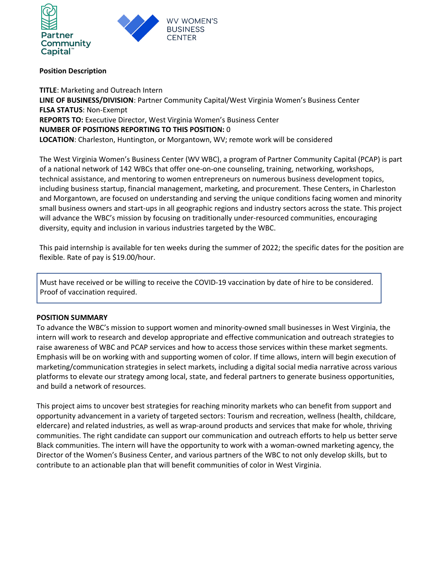

## Position Description

TITLE: Marketing and Outreach Intern LINE OF BUSINESS/DIVISION: Partner Community Capital/West Virginia Women's Business Center FLSA STATUS: Non-Exempt REPORTS TO: Executive Director, West Virginia Women's Business Center NUMBER OF POSITIONS REPORTING TO THIS POSITION: 0 LOCATION: Charleston, Huntington, or Morgantown, WV; remote work will be considered

The West Virginia Women's Business Center (WV WBC), a program of Partner Community Capital (PCAP) is part of a national network of 142 WBCs that offer one-on-one counseling, training, networking, workshops, technical assistance, and mentoring to women entrepreneurs on numerous business development topics, including business startup, financial management, marketing, and procurement. These Centers, in Charleston and Morgantown, are focused on understanding and serving the unique conditions facing women and minority small business owners and start-ups in all geographic regions and industry sectors across the state. This project will advance the WBC's mission by focusing on traditionally under-resourced communities, encouraging diversity, equity and inclusion in various industries targeted by the WBC.

This paid internship is available for ten weeks during the summer of 2022; the specific dates for the position are flexible. Rate of pay is \$19.00/hour.

Must have received or be willing to receive the COVID-19 vaccination by date of hire to be considered. Proof of vaccination required.

### POSITION SUMMARY

To advance the WBC's mission to support women and minority-owned small businesses in West Virginia, the intern will work to research and develop appropriate and effective communication and outreach strategies to raise awareness of WBC and PCAP services and how to access those services within these market segments. Emphasis will be on working with and supporting women of color. If time allows, intern will begin execution of marketing/communication strategies in select markets, including a digital social media narrative across various platforms to elevate our strategy among local, state, and federal partners to generate business opportunities, and build a network of resources.

This project aims to uncover best strategies for reaching minority markets who can benefit from support and opportunity advancement in a variety of targeted sectors: Tourism and recreation, wellness (health, childcare, eldercare) and related industries, as well as wrap-around products and services that make for whole, thriving communities. The right candidate can support our communication and outreach efforts to help us better serve Black communities. The intern will have the opportunity to work with a woman-owned marketing agency, the Director of the Women's Business Center, and various partners of the WBC to not only develop skills, but to contribute to an actionable plan that will benefit communities of color in West Virginia.